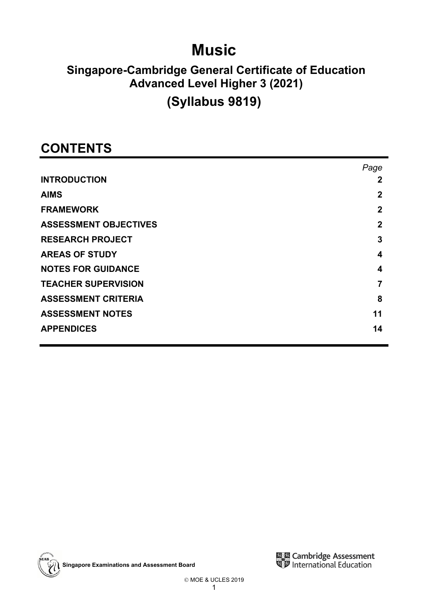## **Music**

## **Singapore-Cambridge General Certificate of Education Advanced Level Higher 3 (2021)**

## **(Syllabus 9819)**

## **CONTENTS**

|                              | Page        |
|------------------------------|-------------|
| <b>INTRODUCTION</b>          | 2           |
| <b>AIMS</b>                  | 2           |
| <b>FRAMEWORK</b>             | $\mathbf 2$ |
| <b>ASSESSMENT OBJECTIVES</b> | $\mathbf 2$ |
| <b>RESEARCH PROJECT</b>      | 3           |
| <b>AREAS OF STUDY</b>        | 4           |
| <b>NOTES FOR GUIDANCE</b>    | 4           |
| <b>TEACHER SUPERVISION</b>   |             |
| <b>ASSESSMENT CRITERIA</b>   | 8           |
| <b>ASSESSMENT NOTES</b>      | 11          |
| <b>APPENDICES</b>            | 14          |

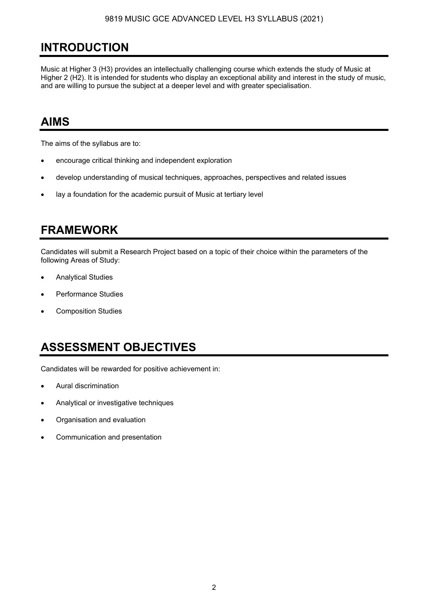## **INTRODUCTION**

Music at Higher 3 (H3) provides an intellectually challenging course which extends the study of Music at Higher 2 (H2). It is intended for students who display an exceptional ability and interest in the study of music, and are willing to pursue the subject at a deeper level and with greater specialisation.

### **AIMS**

The aims of the syllabus are to:

- encourage critical thinking and independent exploration
- develop understanding of musical techniques, approaches, perspectives and related issues
- lay a foundation for the academic pursuit of Music at tertiary level

## **FRAMEWORK**

Candidates will submit a Research Project based on a topic of their choice within the parameters of the following Areas of Study:

- Analytical Studies
- Performance Studies
- Composition Studies

## **ASSESSMENT OBJECTIVES**

Candidates will be rewarded for positive achievement in:

- Aural discrimination
- Analytical or investigative techniques
- Organisation and evaluation
- Communication and presentation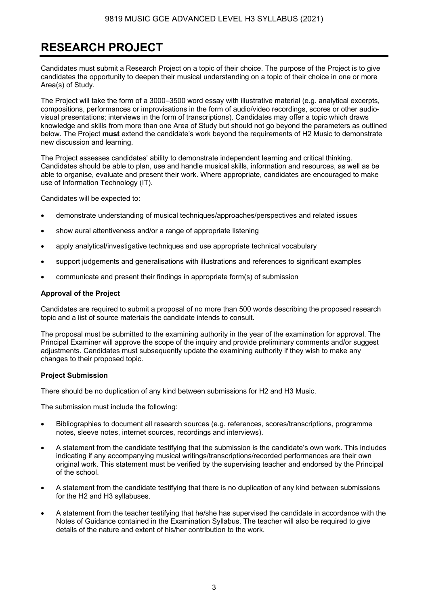## **RESEARCH PROJECT**

Candidates must submit a Research Project on a topic of their choice. The purpose of the Project is to give candidates the opportunity to deepen their musical understanding on a topic of their choice in one or more Area(s) of Study.

The Project will take the form of a 3000–3500 word essay with illustrative material (e.g. analytical excerpts, compositions, performances or improvisations in the form of audio/video recordings, scores or other audiovisual presentations; interviews in the form of transcriptions). Candidates may offer a topic which draws knowledge and skills from more than one Area of Study but should not go beyond the parameters as outlined below. The Project **must** extend the candidate's work beyond the requirements of H2 Music to demonstrate new discussion and learning.

The Project assesses candidates' ability to demonstrate independent learning and critical thinking. Candidates should be able to plan, use and handle musical skills, information and resources, as well as be able to organise, evaluate and present their work. Where appropriate, candidates are encouraged to make use of Information Technology (IT).

Candidates will be expected to:

- demonstrate understanding of musical techniques/approaches/perspectives and related issues
- show aural attentiveness and/or a range of appropriate listening
- apply analytical/investigative techniques and use appropriate technical vocabulary
- support judgements and generalisations with illustrations and references to significant examples
- communicate and present their findings in appropriate form(s) of submission

#### **Approval of the Project**

Candidates are required to submit a proposal of no more than 500 words describing the proposed research topic and a list of source materials the candidate intends to consult.

The proposal must be submitted to the examining authority in the year of the examination for approval. The Principal Examiner will approve the scope of the inquiry and provide preliminary comments and/or suggest adjustments. Candidates must subsequently update the examining authority if they wish to make any changes to their proposed topic.

#### **Project Submission**

There should be no duplication of any kind between submissions for H2 and H3 Music.

The submission must include the following:

- Bibliographies to document all research sources (e.g. references, scores/transcriptions, programme notes, sleeve notes, internet sources, recordings and interviews).
- A statement from the candidate testifying that the submission is the candidate's own work. This includes indicating if any accompanying musical writings/transcriptions/recorded performances are their own original work. This statement must be verified by the supervising teacher and endorsed by the Principal of the school.
- A statement from the candidate testifying that there is no duplication of any kind between submissions for the H2 and H3 syllabuses.
- A statement from the teacher testifying that he/she has supervised the candidate in accordance with the Notes of Guidance contained in the Examination Syllabus. The teacher will also be required to give details of the nature and extent of his/her contribution to the work.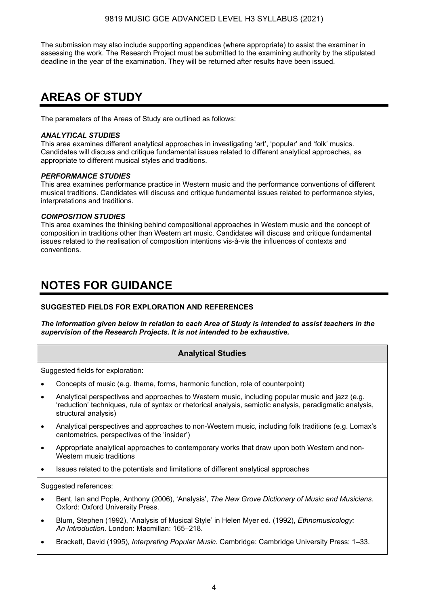The submission may also include supporting appendices (where appropriate) to assist the examiner in assessing the work. The Research Project must be submitted to the examining authority by the stipulated deadline in the year of the examination. They will be returned after results have been issued.

## **AREAS OF STUDY**

The parameters of the Areas of Study are outlined as follows:

#### *ANALYTICAL STUDIES*

This area examines different analytical approaches in investigating 'art', 'popular' and 'folk' musics. Candidates will discuss and critique fundamental issues related to different analytical approaches, as appropriate to different musical styles and traditions.

#### *PERFORMANCE STUDIES*

This area examines performance practice in Western music and the performance conventions of different musical traditions. Candidates will discuss and critique fundamental issues related to performance styles, interpretations and traditions.

#### *COMPOSITION STUDIES*

This area examines the thinking behind compositional approaches in Western music and the concept of composition in traditions other than Western art music. Candidates will discuss and critique fundamental issues related to the realisation of composition intentions vis-à-vis the influences of contexts and conventions.

### **NOTES FOR GUIDANCE**

#### **SUGGESTED FIELDS FOR EXPLORATION AND REFERENCES**

*The information given below in relation to each Area of Study is intended to assist teachers in the supervision of the Research Projects. It is not intended to be exhaustive.* 

#### **Analytical Studies**

Suggested fields for exploration:

- Concepts of music (e.g. theme, forms, harmonic function, role of counterpoint)
- Analytical perspectives and approaches to Western music, including popular music and jazz (e.g. 'reduction' techniques, rule of syntax or rhetorical analysis, semiotic analysis, paradigmatic analysis, structural analysis)
- Analytical perspectives and approaches to non-Western music, including folk traditions (e.g. Lomax's cantometrics, perspectives of the 'insider')
- Appropriate analytical approaches to contemporary works that draw upon both Western and non-Western music traditions
- Issues related to the potentials and limitations of different analytical approaches

Suggested references:

- Bent, Ian and Pople, Anthony (2006), 'Analysis', *The New Grove Dictionary of Music and Musicians*. Oxford: Oxford University Press.
- Blum, Stephen (1992), 'Analysis of Musical Style' in Helen Myer ed. (1992), *Ethnomusicology: An Introduction.* London: Macmillan: 165–218.
- Brackett, David (1995), *Interpreting Popular Music*. Cambridge: Cambridge University Press: 1–33.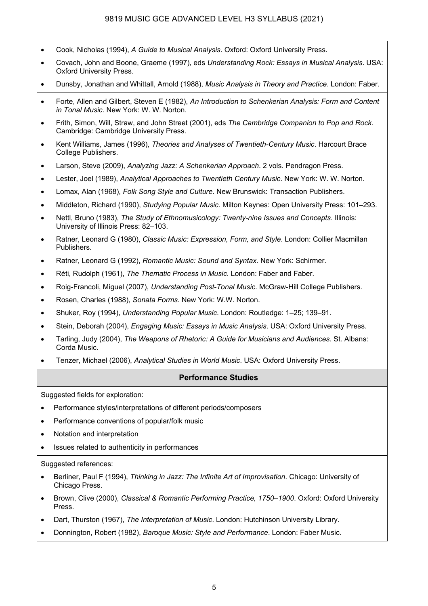- Cook, Nicholas (1994), *A Guide to Musical Analysis*. Oxford: Oxford University Press.
- Covach, John and Boone, Graeme (1997), eds *Understanding Rock: Essays in Musical Analysis*. USA: Oxford University Press.
- Dunsby, Jonathan and Whittall, Arnold (1988), *Music Analysis in Theory and Practice*. London: Faber.
- Forte, Allen and Gilbert, Steven E (1982), *An Introduction to Schenkerian Analysis: Form and Content in Tonal Music*. New York: W. W. Norton.
- Frith, Simon, Will, Straw, and John Street (2001), eds *The Cambridge Companion to Pop and Rock*. Cambridge: Cambridge University Press.
- Kent Williams, James (1996), *Theories and Analyses of Twentieth-Century Music*. Harcourt Brace College Publishers.
- Larson, Steve (2009), *Analyzing Jazz: A Schenkerian Approach*. 2 vols. Pendragon Press.
- Lester, Joel (1989), *Analytical Approaches to Twentieth Century Music*. New York: W. W. Norton.
- Lomax, Alan (1968), *Folk Song Style and Culture*. New Brunswick: Transaction Publishers.
- Middleton, Richard (1990), *Studying Popular Music*. Milton Keynes: Open University Press: 101–293.
- Nettl, Bruno (1983), *The Study of Ethnomusicology: Twenty-nine Issues and Concepts*. Illinois: University of Illinois Press: 82–103.
- Ratner, Leonard G (1980), *Classic Music: Expression, Form, and Style*. London: Collier Macmillan Publishers.
- Ratner, Leonard G (1992), *Romantic Music: Sound and Syntax*. New York: Schirmer.
- Réti, Rudolph (1961), *The Thematic Process in Music*. London: Faber and Faber.
- Roig-Francoli, Miguel (2007), *Understanding Post-Tonal Music*. McGraw-Hill College Publishers.
- Rosen, Charles (1988), *Sonata Forms*. New York: W.W. Norton.
- Shuker, Roy (1994), *Understanding Popular Music*. London: Routledge: 1–25; 139–91.
- Stein, Deborah (2004), *Engaging Music: Essays in Music Analysis*. USA: Oxford University Press.
- Tarling, Judy (2004), *The Weapons of Rhetoric: A Guide for Musicians and Audiences*. St. Albans: Corda Music.
- Tenzer, Michael (2006), *Analytical Studies in World Music*. USA: Oxford University Press.

#### **Performance Studies**

Suggested fields for exploration:

- Performance styles/interpretations of different periods/composers
- Performance conventions of popular/folk music
- Notation and interpretation
- Issues related to authenticity in performances

#### Suggested references:

- Berliner, Paul F (1994), *Thinking in Jazz: The Infinite Art of Improvisation*. Chicago: University of Chicago Press.
- Brown, Clive (2000), *Classical & Romantic Performing Practice, 1750–1900*. Oxford: Oxford University Press.
- Dart, Thurston (1967), *The Interpretation of Music*. London: Hutchinson University Library.
- Donnington, Robert (1982), *Baroque Music: Style and Performance*. London: Faber Music.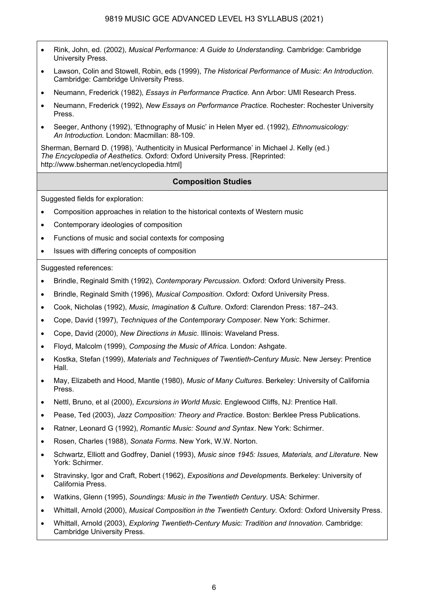- Rink, John, ed. (2002), *Musical Performance: A Guide to Understanding.* Cambridge: Cambridge University Press.
- Lawson, Colin and Stowell, Robin, eds (1999), *The Historical Performance of Music: An Introduction*. Cambridge: Cambridge University Press.
- Neumann, Frederick (1982), *Essays in Performance Practice.* Ann Arbor: UMI Research Press.
- Neumann, Frederick (1992), *New Essays on Performance Practice.* Rochester: Rochester University Press.
- Seeger, Anthony (1992), 'Ethnography of Music' in Helen Myer ed. (1992), *Ethnomusicology: An Introduction.* London: Macmillan: 88-109.

Sherman, Bernard D. (1998), 'Authenticity in Musical Performance' in Michael J. Kelly (ed.) *The Encyclopedia of Aesthetics.* Oxford: Oxford University Press. [Reprinted: http://www.bsherman.net/encyclopedia.html]

#### **Composition Studies**

Suggested fields for exploration:

- Composition approaches in relation to the historical contexts of Western music
- Contemporary ideologies of composition
- Functions of music and social contexts for composing
- Issues with differing concepts of composition

Suggested references:

- Brindle, Reginald Smith (1992), *Contemporary Percussion*. Oxford: Oxford University Press.
- Brindle, Reginald Smith (1996), *Musical Composition*. Oxford: Oxford University Press.
- Cook, Nicholas (1992), *Music, Imagination & Culture*. Oxford: Clarendon Press: 187–243.
- Cope, David (1997), *Techniques of the Contemporary Composer*. New York: Schirmer.
- Cope, David (2000), *New Directions in Music*. Illinois: Waveland Press.
- Floyd, Malcolm (1999), *Composing the Music of Africa*. London: Ashgate.
- Kostka, Stefan (1999), *Materials and Techniques of Twentieth-Century Music*. New Jersey: Prentice Hall.
- May, Elizabeth and Hood, Mantle (1980), *Music of Many Cultures*. Berkeley: University of California Press.
- Nettl, Bruno, et al (2000), *Excursions in World Music*. Englewood Cliffs, NJ: Prentice Hall.
- Pease, Ted (2003), *Jazz Composition: Theory and Practice*. Boston: Berklee Press Publications.
- Ratner, Leonard G (1992), *Romantic Music: Sound and Syntax*. New York: Schirmer.
- Rosen, Charles (1988), *Sonata Forms*. New York, W.W. Norton.
- Schwartz, Elliott and Godfrey, Daniel (1993), *Music since 1945: Issues, Materials, and Literature*. New York: Schirmer.
- Stravinsky, Igor and Craft, Robert (1962), *Expositions and Developments*. Berkeley: University of California Press.
- Watkins, Glenn (1995), *Soundings: Music in the Twentieth Century*. USA: Schirmer.
- Whittall, Arnold (2000), *Musical Composition in the Twentieth Century.* Oxford: Oxford University Press.
- Whittall, Arnold (2003), *Exploring Twentieth-Century Music: Tradition and Innovation*. Cambridge: Cambridge University Press.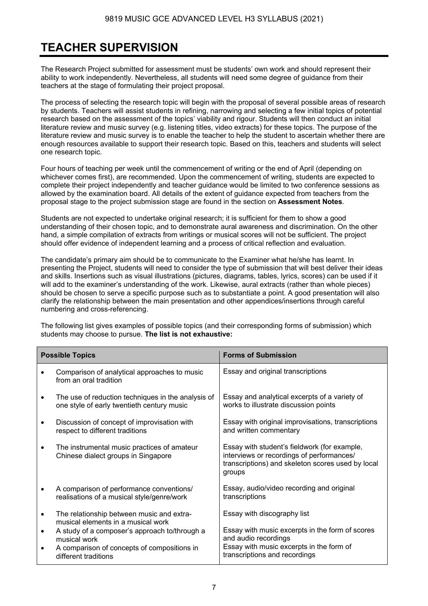## **TEACHER SUPERVISION**

The Research Project submitted for assessment must be students' own work and should represent their ability to work independently. Nevertheless, all students will need some degree of guidance from their teachers at the stage of formulating their project proposal.

The process of selecting the research topic will begin with the proposal of several possible areas of research by students. Teachers will assist students in refining, narrowing and selecting a few initial topics of potential research based on the assessment of the topics' viability and rigour. Students will then conduct an initial literature review and music survey (e.g. listening titles, video extracts) for these topics. The purpose of the literature review and music survey is to enable the teacher to help the student to ascertain whether there are enough resources available to support their research topic. Based on this, teachers and students will select one research topic.

Four hours of teaching per week until the commencement of writing or the end of April (depending on whichever comes first), are recommended. Upon the commencement of writing, students are expected to complete their project independently and teacher guidance would be limited to two conference sessions as allowed by the examination board. All details of the extent of guidance expected from teachers from the proposal stage to the project submission stage are found in the section on **Assessment Notes**.

Students are not expected to undertake original research; it is sufficient for them to show a good understanding of their chosen topic, and to demonstrate aural awareness and discrimination. On the other hand, a simple compilation of extracts from writings or musical scores will not be sufficient. The project should offer evidence of independent learning and a process of critical reflection and evaluation.

The candidate's primary aim should be to communicate to the Examiner what he/she has learnt. In presenting the Project, students will need to consider the type of submission that will best deliver their ideas and skills. Insertions such as visual illustrations (pictures, diagrams, tables, lyrics, scores) can be used if it will add to the examiner's understanding of the work. Likewise, aural extracts (rather than whole pieces) should be chosen to serve a specific purpose such as to substantiate a point. A good presentation will also clarify the relationship between the main presentation and other appendices/insertions through careful numbering and cross-referencing.

The following list gives examples of possible topics (and their corresponding forms of submission) which students may choose to pursue. **The list is not exhaustive:**

| <b>Possible Topics</b> |                                                                                                                                      | <b>Forms of Submission</b>                                                                                                                               |  |
|------------------------|--------------------------------------------------------------------------------------------------------------------------------------|----------------------------------------------------------------------------------------------------------------------------------------------------------|--|
|                        | Comparison of analytical approaches to music<br>from an oral tradition                                                               | Essay and original transcriptions                                                                                                                        |  |
| $\bullet$              | The use of reduction techniques in the analysis of<br>one style of early twentieth century music                                     | Essay and analytical excerpts of a variety of<br>works to illustrate discussion points                                                                   |  |
| ٠                      | Discussion of concept of improvisation with<br>respect to different traditions                                                       | Essay with original improvisations, transcriptions<br>and written commentary                                                                             |  |
| $\bullet$              | The instrumental music practices of amateur<br>Chinese dialect groups in Singapore                                                   | Essay with student's fieldwork (for example,<br>interviews or recordings of performances/<br>transcriptions) and skeleton scores used by local<br>groups |  |
| $\bullet$              | A comparison of performance conventions/<br>realisations of a musical style/genre/work                                               | Essay, audio/video recording and original<br>transcriptions                                                                                              |  |
| $\bullet$              | The relationship between music and extra-<br>musical elements in a musical work                                                      | Essay with discography list                                                                                                                              |  |
| $\bullet$              | A study of a composer's approach to/through a<br>musical work<br>A comparison of concepts of compositions in<br>different traditions | Essay with music excerpts in the form of scores<br>and audio recordings<br>Essay with music excerpts in the form of<br>transcriptions and recordings     |  |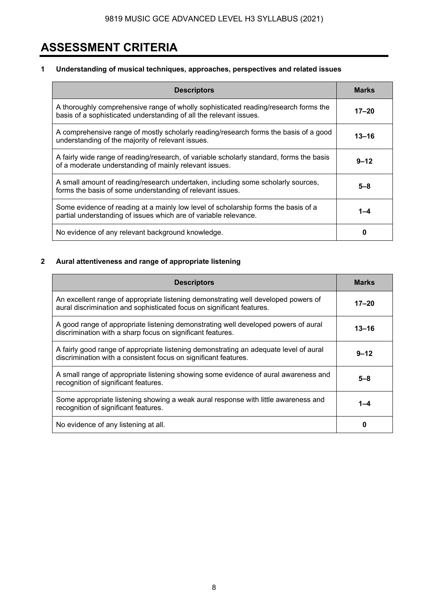## **ASSESSMENT CRITERIA**

#### **1 Understanding of musical techniques, approaches, perspectives and related issues**

| <b>Descriptors</b>                                                                                                                                        | <b>Marks</b> |
|-----------------------------------------------------------------------------------------------------------------------------------------------------------|--------------|
| A thoroughly comprehensive range of wholly sophisticated reading/research forms the<br>basis of a sophisticated understanding of all the relevant issues. | $17 - 20$    |
| A comprehensive range of mostly scholarly reading/research forms the basis of a good<br>understanding of the majority of relevant issues.                 | $13 - 16$    |
| A fairly wide range of reading/research, of variable scholarly standard, forms the basis<br>of a moderate understanding of mainly relevant issues.        | $9 - 12$     |
| A small amount of reading/research undertaken, including some scholarly sources,<br>forms the basis of some understanding of relevant issues.             | 5–8          |
| Some evidence of reading at a mainly low level of scholarship forms the basis of a<br>partial understanding of issues which are of variable relevance.    | 1-4          |
| No evidence of any relevant background knowledge.                                                                                                         | 0            |

#### **2 Aural attentiveness and range of appropriate listening**

 $\overline{a}$ 

| <b>Descriptors</b>                                                                                                                                          | <b>Marks</b> |
|-------------------------------------------------------------------------------------------------------------------------------------------------------------|--------------|
| An excellent range of appropriate listening demonstrating well developed powers of<br>aural discrimination and sophisticated focus on significant features. | $17 - 20$    |
| A good range of appropriate listening demonstrating well developed powers of aural<br>discrimination with a sharp focus on significant features.            | $13 - 16$    |
| A fairly good range of appropriate listening demonstrating an adequate level of aural<br>discrimination with a consistent focus on significant features.    | $9 - 12$     |
| A small range of appropriate listening showing some evidence of aural awareness and<br>recognition of significant features.                                 | 5–8          |
| Some appropriate listening showing a weak aural response with little awareness and<br>recognition of significant features.                                  | $1 - 4$      |
| No evidence of any listening at all.                                                                                                                        | 0            |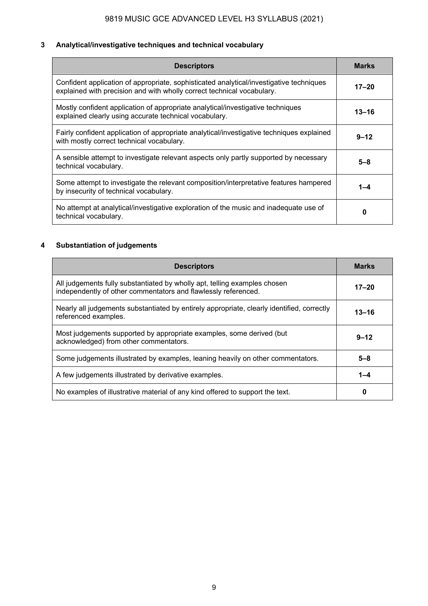### **3 Analytical/investigative techniques and technical vocabulary**

| <b>Descriptors</b>                                                                                                                                                | <b>Marks</b> |
|-------------------------------------------------------------------------------------------------------------------------------------------------------------------|--------------|
| Confident application of appropriate, sophisticated analytical/investigative techniques<br>explained with precision and with wholly correct technical vocabulary. | $17 - 20$    |
| Mostly confident application of appropriate analytical/investigative techniques<br>explained clearly using accurate technical vocabulary.                         | $13 - 16$    |
| Fairly confident application of appropriate analytical/investigative techniques explained<br>with mostly correct technical vocabulary.                            | $9 - 12$     |
| A sensible attempt to investigate relevant aspects only partly supported by necessary<br>technical vocabulary.                                                    | $5 - 8$      |
| Some attempt to investigate the relevant composition/interpretative features hampered<br>by insecurity of technical vocabulary.                                   | $1 - 4$      |
| No attempt at analytical/investigative exploration of the music and inadequate use of<br>technical vocabulary.                                                    | 0            |

#### **4 Substantiation of judgements**

| <b>Descriptors</b>                                                                                                                          | <b>Marks</b> |
|---------------------------------------------------------------------------------------------------------------------------------------------|--------------|
| All judgements fully substantiated by wholly apt, telling examples chosen<br>independently of other commentators and flawlessly referenced. | $17 - 20$    |
| Nearly all judgements substantiated by entirely appropriate, clearly identified, correctly<br>referenced examples.                          | $13 - 16$    |
| Most judgements supported by appropriate examples, some derived (but<br>acknowledged) from other commentators.                              | $9 - 12$     |
| Some judgements illustrated by examples, leaning heavily on other commentators.                                                             | $5 - 8$      |
| A few judgements illustrated by derivative examples.                                                                                        | $1 - 4$      |
| No examples of illustrative material of any kind offered to support the text.                                                               | 0            |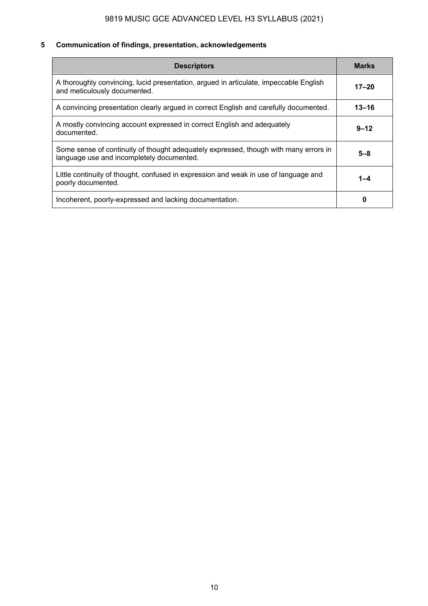### **5 Communication of findings, presentation, acknowledgements**

| <b>Descriptors</b>                                                                                                                | <b>Marks</b> |
|-----------------------------------------------------------------------------------------------------------------------------------|--------------|
| A thoroughly convincing, lucid presentation, argued in articulate, impeccable English<br>and meticulously documented.             | $17 - 20$    |
| A convincing presentation clearly argued in correct English and carefully documented.                                             | $13 - 16$    |
| A mostly convincing account expressed in correct English and adequately<br>documented.                                            | $9 - 12$     |
| Some sense of continuity of thought adequately expressed, though with many errors in<br>language use and incompletely documented. | $5 - 8$      |
| Little continuity of thought, confused in expression and weak in use of language and<br>poorly documented.                        | $1 - 4$      |
| Incoherent, poorly-expressed and lacking documentation.                                                                           | 0            |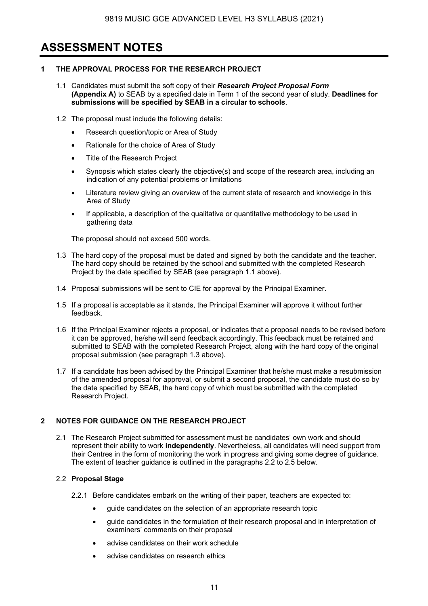### **ASSESSMENT NOTES**

#### **1 THE APPROVAL PROCESS FOR THE RESEARCH PROJECT**

- 1.1 Candidates must submit the soft copy of their *Research Project Proposal Form* **(Appendix A)** to SEAB by a specified date in Term 1 of the second year of study. **Deadlines for submissions will be specified by SEAB in a circular to schools**.
- 1.2 The proposal must include the following details:
	- Research question/topic or Area of Study
	- Rationale for the choice of Area of Study
	- Title of the Research Project
	- Synopsis which states clearly the objective(s) and scope of the research area, including an indication of any potential problems or limitations
	- Literature review giving an overview of the current state of research and knowledge in this Area of Study
	- If applicable, a description of the qualitative or quantitative methodology to be used in gathering data

The proposal should not exceed 500 words.

- 1.3 The hard copy of the proposal must be dated and signed by both the candidate and the teacher. The hard copy should be retained by the school and submitted with the completed Research Project by the date specified by SEAB (see paragraph 1.1 above).
- 1.4 Proposal submissions will be sent to CIE for approval by the Principal Examiner.
- 1.5 If a proposal is acceptable as it stands, the Principal Examiner will approve it without further feedback.
- 1.6 If the Principal Examiner rejects a proposal, or indicates that a proposal needs to be revised before it can be approved, he/she will send feedback accordingly. This feedback must be retained and submitted to SEAB with the completed Research Project, along with the hard copy of the original proposal submission (see paragraph 1.3 above).
- 1.7 If a candidate has been advised by the Principal Examiner that he/she must make a resubmission of the amended proposal for approval, or submit a second proposal, the candidate must do so by the date specified by SEAB, the hard copy of which must be submitted with the completed Research Project.

#### **2 NOTES FOR GUIDANCE ON THE RESEARCH PROJECT**

2.1 The Research Project submitted for assessment must be candidates' own work and should represent their ability to work **independently**. Nevertheless, all candidates will need support from their Centres in the form of monitoring the work in progress and giving some degree of guidance. The extent of teacher quidance is outlined in the paragraphs 2.2 to 2.5 below.

#### 2.2 **Proposal Stage**

- 2.2.1 Before candidates embark on the writing of their paper, teachers are expected to:
	- guide candidates on the selection of an appropriate research topic
	- guide candidates in the formulation of their research proposal and in interpretation of examiners' comments on their proposal
	- advise candidates on their work schedule
	- advise candidates on research ethics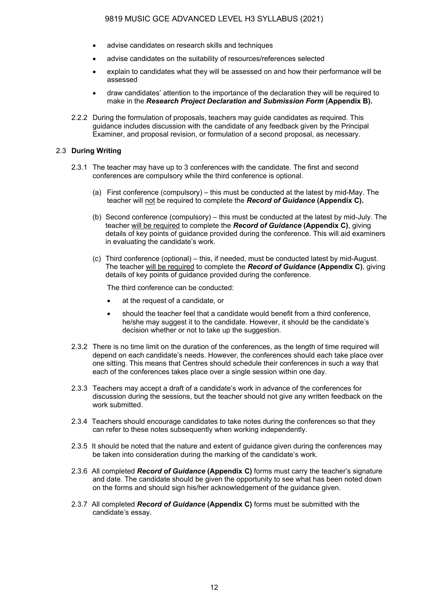- advise candidates on research skills and techniques
- advise candidates on the suitability of resources/references selected
- explain to candidates what they will be assessed on and how their performance will be assessed
- draw candidates' attention to the importance of the declaration they will be required to make in the *Research Project Declaration and Submission Form* **(Appendix B).**
- 2.2.2 During the formulation of proposals, teachers may guide candidates as required. This guidance includes discussion with the candidate of any feedback given by the Principal Examiner, and proposal revision, or formulation of a second proposal, as necessary.

#### 2.3 **During Writing**

- 2.3.1 The teacher may have up to 3 conferences with the candidate. The first and second conferences are compulsory while the third conference is optional.
	- (a) First conference (compulsory) this must be conducted at the latest by mid-May. The teacher will not be required to complete the *Record of Guidance* **(Appendix C).**
	- (b) Second conference (compulsory) this must be conducted at the latest by mid-July. The teacher will be required to complete the *Record of Guidance* **(Appendix C)**, giving details of key points of guidance provided during the conference. This will aid examiners in evaluating the candidate's work.
	- (c) Third conference (optional) this, if needed, must be conducted latest by mid-August. The teacher will be required to complete the *Record of Guidance* **(Appendix C)**, giving details of key points of guidance provided during the conference.

The third conference can be conducted:

- at the request of a candidate, or
- should the teacher feel that a candidate would benefit from a third conference, he/she may suggest it to the candidate. However, it should be the candidate's decision whether or not to take up the suggestion.
- 2.3.2 There is no time limit on the duration of the conferences, as the length of time required will depend on each candidate's needs. However, the conferences should each take place over one sitting. This means that Centres should schedule their conferences in such a way that each of the conferences takes place over a single session within one day.
- 2.3.3 Teachers may accept a draft of a candidate's work in advance of the conferences for discussion during the sessions, but the teacher should not give any written feedback on the work submitted.
- 2.3.4 Teachers should encourage candidates to take notes during the conferences so that they can refer to these notes subsequently when working independently.
- 2.3.5 It should be noted that the nature and extent of guidance given during the conferences may be taken into consideration during the marking of the candidate's work.
- 2.3.6 All completed *Record of Guidance* **(Appendix C)** forms must carry the teacher's signature and date. The candidate should be given the opportunity to see what has been noted down on the forms and should sign his/her acknowledgement of the guidance given.
- 2.3.7 All completed *Record of Guidance* **(Appendix C)** forms must be submitted with the candidate's essay.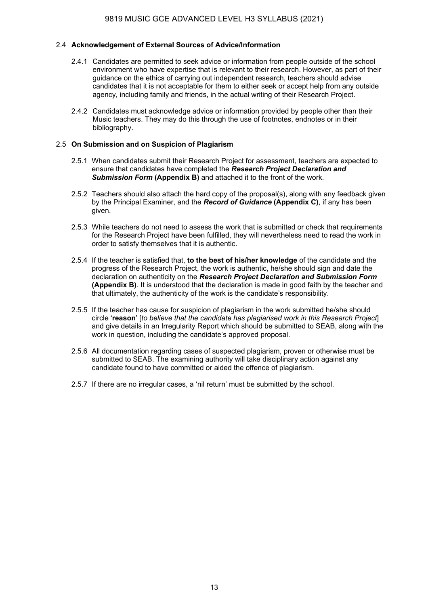#### 2.4 **Acknowledgement of External Sources of Advice/Information**

- 2.4.1 Candidates are permitted to seek advice or information from people outside of the school environment who have expertise that is relevant to their research. However, as part of their guidance on the ethics of carrying out independent research, teachers should advise candidates that it is not acceptable for them to either seek or accept help from any outside agency, including family and friends, in the actual writing of their Research Project.
- 2.4.2 Candidates must acknowledge advice or information provided by people other than their Music teachers. They may do this through the use of footnotes, endnotes or in their bibliography.

#### 2.5 **On Submission and on Suspicion of Plagiarism**

- 2.5.1 When candidates submit their Research Project for assessment, teachers are expected to ensure that candidates have completed the *Research Project Declaration and Submission Form* **(Appendix B)** and attached it to the front of the work.
- 2.5.2 Teachers should also attach the hard copy of the proposal(s), along with any feedback given by the Principal Examiner, and the *Record of Guidance* **(Appendix C)**, if any has been given.
- 2.5.3 While teachers do not need to assess the work that is submitted or check that requirements for the Research Project have been fulfilled, they will nevertheless need to read the work in order to satisfy themselves that it is authentic.
- 2.5.4 If the teacher is satisfied that, **to the best of his/her knowledge** of the candidate and the progress of the Research Project, the work is authentic, he/she should sign and date the declaration on authenticity on the *Research Project Declaration and Submission Form*  **(Appendix B)**. It is understood that the declaration is made in good faith by the teacher and that ultimately, the authenticity of the work is the candidate's responsibility.
- 2.5.5 If the teacher has cause for suspicion of plagiarism in the work submitted he/she should circle '**reason**' [*to believe that the candidate has plagiarised work in this Research Project*] and give details in an Irregularity Report which should be submitted to SEAB, along with the work in question, including the candidate's approved proposal.
- 2.5.6 All documentation regarding cases of suspected plagiarism, proven or otherwise must be submitted to SEAB. The examining authority will take disciplinary action against any candidate found to have committed or aided the offence of plagiarism.
- 2.5.7 If there are no irregular cases, a 'nil return' must be submitted by the school.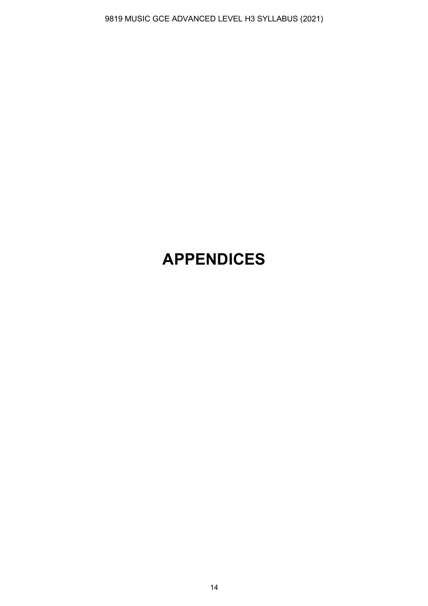## **APPENDICES**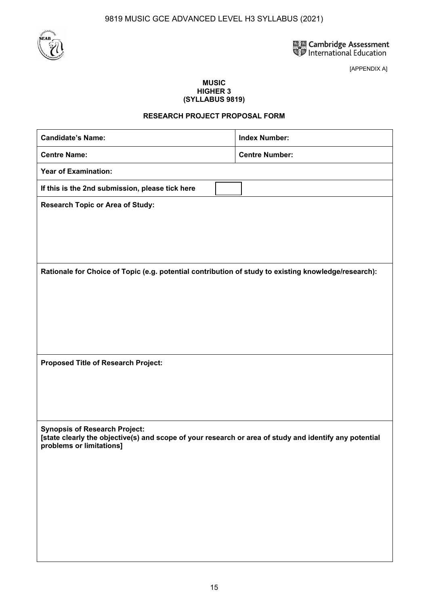

[APPENDIX A]

#### **MUSIC HIGHER 3 (SYLLABUS 9819)**

#### **RESEARCH PROJECT PROPOSAL FORM**

| <b>Candidate's Name:</b>                                                                                                                                                   |  | <b>Index Number:</b>  |  |
|----------------------------------------------------------------------------------------------------------------------------------------------------------------------------|--|-----------------------|--|
| <b>Centre Name:</b>                                                                                                                                                        |  | <b>Centre Number:</b> |  |
| <b>Year of Examination:</b>                                                                                                                                                |  |                       |  |
| If this is the 2nd submission, please tick here                                                                                                                            |  |                       |  |
| <b>Research Topic or Area of Study:</b>                                                                                                                                    |  |                       |  |
|                                                                                                                                                                            |  |                       |  |
|                                                                                                                                                                            |  |                       |  |
|                                                                                                                                                                            |  |                       |  |
| Rationale for Choice of Topic (e.g. potential contribution of study to existing knowledge/research):                                                                       |  |                       |  |
|                                                                                                                                                                            |  |                       |  |
|                                                                                                                                                                            |  |                       |  |
|                                                                                                                                                                            |  |                       |  |
|                                                                                                                                                                            |  |                       |  |
| Proposed Title of Research Project:                                                                                                                                        |  |                       |  |
|                                                                                                                                                                            |  |                       |  |
|                                                                                                                                                                            |  |                       |  |
|                                                                                                                                                                            |  |                       |  |
| <b>Synopsis of Research Project:</b><br>[state clearly the objective(s) and scope of your research or area of study and identify any potential<br>problems or limitations] |  |                       |  |
|                                                                                                                                                                            |  |                       |  |
|                                                                                                                                                                            |  |                       |  |
|                                                                                                                                                                            |  |                       |  |
|                                                                                                                                                                            |  |                       |  |
|                                                                                                                                                                            |  |                       |  |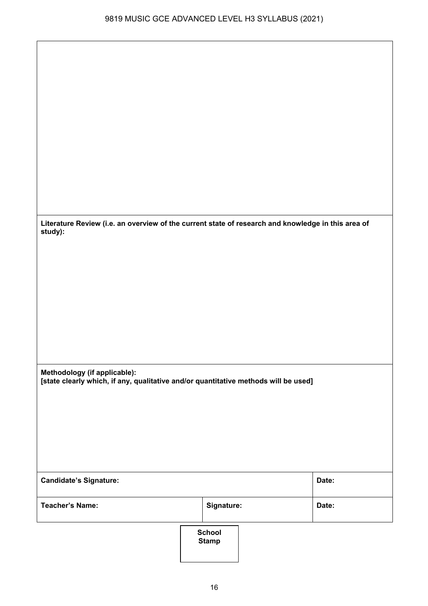**Literature Review (i.e. an overview of the current state of research and knowledge in this area of study):** 

**Methodology (if applicable): [state clearly which, if any, qualitative and/or quantitative methods will be used]** 

| <b>Candidate's Signature:</b> |  |                               | Date: |
|-------------------------------|--|-------------------------------|-------|
| <b>Teacher's Name:</b>        |  | Signature:                    | Date: |
|                               |  | <b>School</b><br><b>Stamp</b> |       |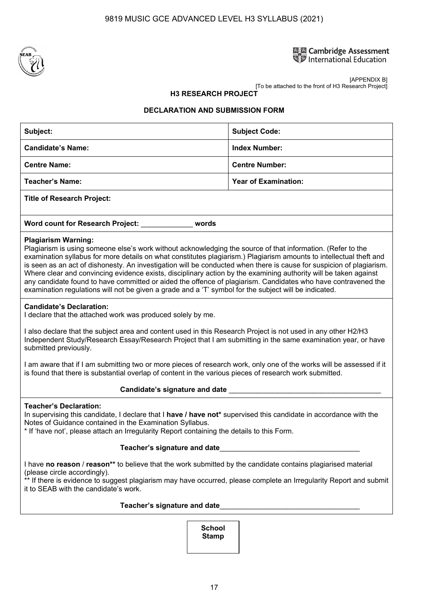

## **ELE Cambridge Assessment**<br>SUP International Education

[APPENDIX B] [To be attached to the front of H3 Research Project]

#### **H3 RESEARCH PROJECT**

#### **DECLARATION AND SUBMISSION FORM**

| Subject:                                                                                                                                                                                                                                                                                                                                                                                                                                                                                                                                                                                                                                                                                                                               | <b>Subject Code:</b>        |  |  |  |
|----------------------------------------------------------------------------------------------------------------------------------------------------------------------------------------------------------------------------------------------------------------------------------------------------------------------------------------------------------------------------------------------------------------------------------------------------------------------------------------------------------------------------------------------------------------------------------------------------------------------------------------------------------------------------------------------------------------------------------------|-----------------------------|--|--|--|
| <b>Candidate's Name:</b>                                                                                                                                                                                                                                                                                                                                                                                                                                                                                                                                                                                                                                                                                                               | <b>Index Number:</b>        |  |  |  |
| <b>Centre Name:</b>                                                                                                                                                                                                                                                                                                                                                                                                                                                                                                                                                                                                                                                                                                                    | <b>Centre Number:</b>       |  |  |  |
| <b>Teacher's Name:</b>                                                                                                                                                                                                                                                                                                                                                                                                                                                                                                                                                                                                                                                                                                                 | <b>Year of Examination:</b> |  |  |  |
| <b>Title of Research Project:</b>                                                                                                                                                                                                                                                                                                                                                                                                                                                                                                                                                                                                                                                                                                      |                             |  |  |  |
| Word count for Research Project: ____________ words                                                                                                                                                                                                                                                                                                                                                                                                                                                                                                                                                                                                                                                                                    |                             |  |  |  |
| <b>Plagiarism Warning:</b><br>Plagiarism is using someone else's work without acknowledging the source of that information. (Refer to the<br>examination syllabus for more details on what constitutes plagiarism.) Plagiarism amounts to intellectual theft and<br>is seen as an act of dishonesty. An investigation will be conducted when there is cause for suspicion of plagiarism.<br>Where clear and convincing evidence exists, disciplinary action by the examining authority will be taken against<br>any candidate found to have committed or aided the offence of plagiarism. Candidates who have contravened the<br>examination regulations will not be given a grade and a 'T' symbol for the subject will be indicated. |                             |  |  |  |
| <b>Candidate's Declaration:</b><br>I declare that the attached work was produced solely by me.                                                                                                                                                                                                                                                                                                                                                                                                                                                                                                                                                                                                                                         |                             |  |  |  |
| I also declare that the subject area and content used in this Research Project is not used in any other H2/H3<br>Independent Study/Research Essay/Research Project that I am submitting in the same examination year, or have<br>submitted previously.                                                                                                                                                                                                                                                                                                                                                                                                                                                                                 |                             |  |  |  |
| I am aware that if I am submitting two or more pieces of research work, only one of the works will be assessed if it<br>is found that there is substantial overlap of content in the various pieces of research work submitted.                                                                                                                                                                                                                                                                                                                                                                                                                                                                                                        |                             |  |  |  |
| Candidate's signature and date                                                                                                                                                                                                                                                                                                                                                                                                                                                                                                                                                                                                                                                                                                         |                             |  |  |  |
| <b>Teacher's Declaration:</b><br>In supervising this candidate, I declare that I have / have not* supervised this candidate in accordance with the<br>Notes of Guidance contained in the Examination Syllabus.<br>* If 'have not', please attach an Irregularity Report containing the details to this Form.                                                                                                                                                                                                                                                                                                                                                                                                                           |                             |  |  |  |
| Teacher's signature and date                                                                                                                                                                                                                                                                                                                                                                                                                                                                                                                                                                                                                                                                                                           |                             |  |  |  |
| I have no reason / reason** to believe that the work submitted by the candidate contains plagiarised material<br>(please circle accordingly).<br>** If there is evidence to suggest plagiarism may have occurred, please complete an Irregularity Report and submit<br>it to SEAB with the candidate's work.                                                                                                                                                                                                                                                                                                                                                                                                                           |                             |  |  |  |
|                                                                                                                                                                                                                                                                                                                                                                                                                                                                                                                                                                                                                                                                                                                                        |                             |  |  |  |
| <b>School</b>                                                                                                                                                                                                                                                                                                                                                                                                                                                                                                                                                                                                                                                                                                                          |                             |  |  |  |

**Stamp**